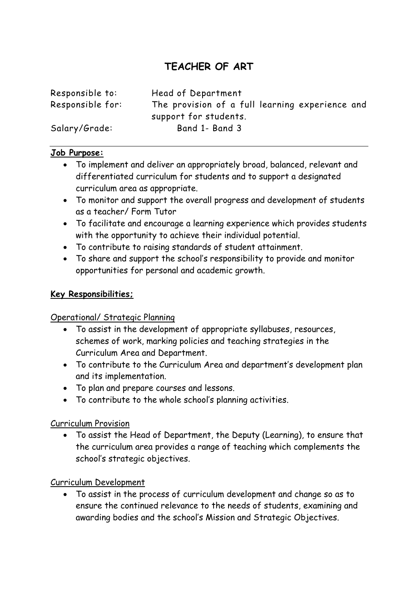# **TEACHER OF ART**

| Responsible to:  | Head of Department                                                       |
|------------------|--------------------------------------------------------------------------|
| Responsible for: | The provision of a full learning experience and<br>support for students. |
|                  |                                                                          |
| Salary/Grade:    | Band 1- Band 3                                                           |

#### **Job Purpose:**

- To implement and deliver an appropriately broad, balanced, relevant and differentiated curriculum for students and to support a designated curriculum area as appropriate.
- To monitor and support the overall progress and development of students as a teacher/ Form Tutor
- To facilitate and encourage a learning experience which provides students with the opportunity to achieve their individual potential.
- To contribute to raising standards of student attainment.
- To share and support the school's responsibility to provide and monitor opportunities for personal and academic growth.

#### **Key Responsibilities;**

#### Operational/ Strategic Planning

- To assist in the development of appropriate syllabuses, resources, schemes of work, marking policies and teaching strategies in the Curriculum Area and Department.
- To contribute to the Curriculum Area and department's development plan and its implementation.
- To plan and prepare courses and lessons.
- To contribute to the whole school's planning activities.

#### Curriculum Provision

 To assist the Head of Department, the Deputy (Learning), to ensure that the curriculum area provides a range of teaching which complements the school's strategic objectives.

#### Curriculum Development

 To assist in the process of curriculum development and change so as to ensure the continued relevance to the needs of students, examining and awarding bodies and the school's Mission and Strategic Objectives.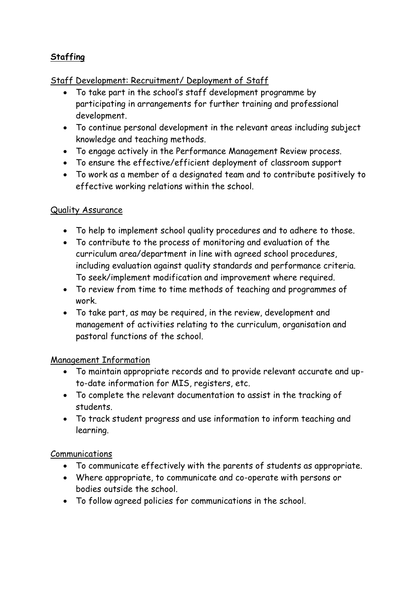## **Staffing**

#### Staff Development: Recruitment/ Deployment of Staff

- To take part in the school's staff development programme by participating in arrangements for further training and professional development.
- To continue personal development in the relevant areas including subject knowledge and teaching methods.
- To engage actively in the Performance Management Review process.
- To ensure the effective/efficient deployment of classroom support
- To work as a member of a designated team and to contribute positively to effective working relations within the school.

#### Quality Assurance

- To help to implement school quality procedures and to adhere to those.
- To contribute to the process of monitoring and evaluation of the curriculum area/department in line with agreed school procedures, including evaluation against quality standards and performance criteria. To seek/implement modification and improvement where required.
- To review from time to time methods of teaching and programmes of work.
- To take part, as may be required, in the review, development and management of activities relating to the curriculum, organisation and pastoral functions of the school.

#### Management Information

- To maintain appropriate records and to provide relevant accurate and upto-date information for MIS, registers, etc.
- To complete the relevant documentation to assist in the tracking of students.
- To track student progress and use information to inform teaching and learning.

#### Communications

- To communicate effectively with the parents of students as appropriate.
- Where appropriate, to communicate and co-operate with persons or bodies outside the school.
- To follow agreed policies for communications in the school.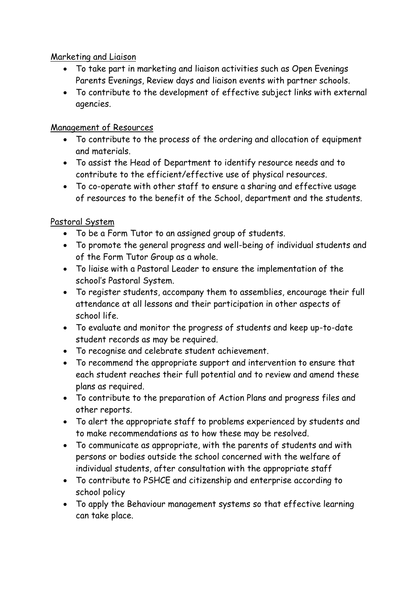Marketing and Liaison

- To take part in marketing and liaison activities such as Open Evenings Parents Evenings, Review days and liaison events with partner schools.
- To contribute to the development of effective subject links with external agencies.

## Management of Resources

- To contribute to the process of the ordering and allocation of equipment and materials.
- To assist the Head of Department to identify resource needs and to contribute to the efficient/effective use of physical resources.
- To co-operate with other staff to ensure a sharing and effective usage of resources to the benefit of the School, department and the students.

## Pastoral System

- To be a Form Tutor to an assigned group of students.
- To promote the general progress and well-being of individual students and of the Form Tutor Group as a whole.
- To liaise with a Pastoral Leader to ensure the implementation of the school's Pastoral System.
- To register students, accompany them to assemblies, encourage their full attendance at all lessons and their participation in other aspects of school life.
- To evaluate and monitor the progress of students and keep up-to-date student records as may be required.
- To recognise and celebrate student achievement.
- To recommend the appropriate support and intervention to ensure that each student reaches their full potential and to review and amend these plans as required.
- To contribute to the preparation of Action Plans and progress files and other reports.
- To alert the appropriate staff to problems experienced by students and to make recommendations as to how these may be resolved.
- To communicate as appropriate, with the parents of students and with persons or bodies outside the school concerned with the welfare of individual students, after consultation with the appropriate staff
- To contribute to PSHCE and citizenship and enterprise according to school policy
- To apply the Behaviour management systems so that effective learning can take place.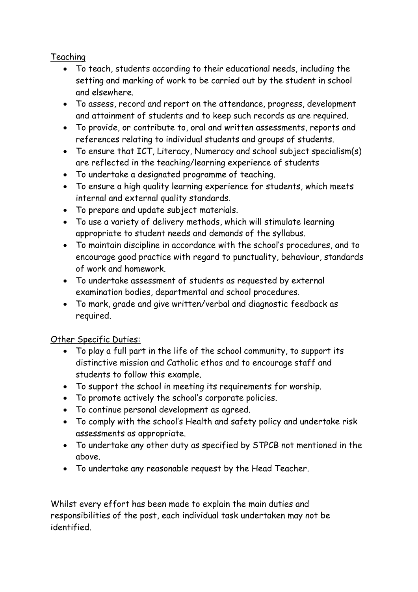## Teaching

- To teach, students according to their educational needs, including the setting and marking of work to be carried out by the student in school and elsewhere.
- To assess, record and report on the attendance, progress, development and attainment of students and to keep such records as are required.
- To provide, or contribute to, oral and written assessments, reports and references relating to individual students and groups of students.
- To ensure that ICT, Literacy, Numeracy and school subject specialism(s) are reflected in the teaching/learning experience of students
- To undertake a designated programme of teaching.
- To ensure a high quality learning experience for students, which meets internal and external quality standards.
- To prepare and update subject materials.
- To use a variety of delivery methods, which will stimulate learning appropriate to student needs and demands of the syllabus.
- To maintain discipline in accordance with the school's procedures, and to encourage good practice with regard to punctuality, behaviour, standards of work and homework.
- To undertake assessment of students as requested by external examination bodies, departmental and school procedures.
- To mark, grade and give written/verbal and diagnostic feedback as required.

## Other Specific Duties:

- To play a full part in the life of the school community, to support its distinctive mission and Catholic ethos and to encourage staff and students to follow this example.
- To support the school in meeting its requirements for worship.
- To promote actively the school's corporate policies.
- To continue personal development as agreed.
- To comply with the school's Health and safety policy and undertake risk assessments as appropriate.
- To undertake any other duty as specified by STPCB not mentioned in the above.
- To undertake any reasonable request by the Head Teacher.

Whilst every effort has been made to explain the main duties and responsibilities of the post, each individual task undertaken may not be identified.